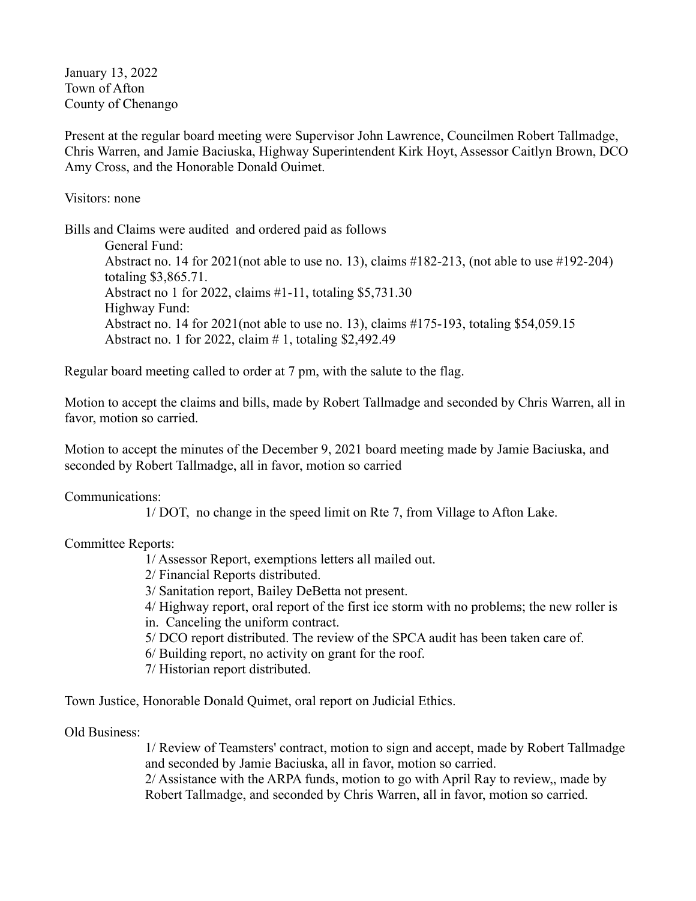January 13, 2022 Town of Afton County of Chenango

Present at the regular board meeting were Supervisor John Lawrence, Councilmen Robert Tallmadge, Chris Warren, and Jamie Baciuska, Highway Superintendent Kirk Hoyt, Assessor Caitlyn Brown, DCO Amy Cross, and the Honorable Donald Ouimet.

Visitors: none

Bills and Claims were audited and ordered paid as follows

General Fund: Abstract no. 14 for  $2021$ (not able to use no. 13), claims  $\#182-213$ , (not able to use  $\#192-204$ ) totaling \$3,865.71. Abstract no 1 for 2022, claims #1-11, totaling \$5,731.30 Highway Fund: Abstract no. 14 for 2021(not able to use no. 13), claims #175-193, totaling \$54,059.15 Abstract no. 1 for 2022, claim # 1, totaling \$2,492.49

Regular board meeting called to order at 7 pm, with the salute to the flag.

Motion to accept the claims and bills, made by Robert Tallmadge and seconded by Chris Warren, all in favor, motion so carried.

Motion to accept the minutes of the December 9, 2021 board meeting made by Jamie Baciuska, and seconded by Robert Tallmadge, all in favor, motion so carried

Communications:

1/ DOT, no change in the speed limit on Rte 7, from Village to Afton Lake.

Committee Reports:

1/ Assessor Report, exemptions letters all mailed out.

2/ Financial Reports distributed.

3/ Sanitation report, Bailey DeBetta not present.

4/ Highway report, oral report of the first ice storm with no problems; the new roller is

in. Canceling the uniform contract.

5/ DCO report distributed. The review of the SPCA audit has been taken care of.

6/ Building report, no activity on grant for the roof.

7/ Historian report distributed.

Town Justice, Honorable Donald Quimet, oral report on Judicial Ethics.

Old Business:

1/ Review of Teamsters' contract, motion to sign and accept, made by Robert Tallmadge and seconded by Jamie Baciuska, all in favor, motion so carried.

2/ Assistance with the ARPA funds, motion to go with April Ray to review,, made by Robert Tallmadge, and seconded by Chris Warren, all in favor, motion so carried.